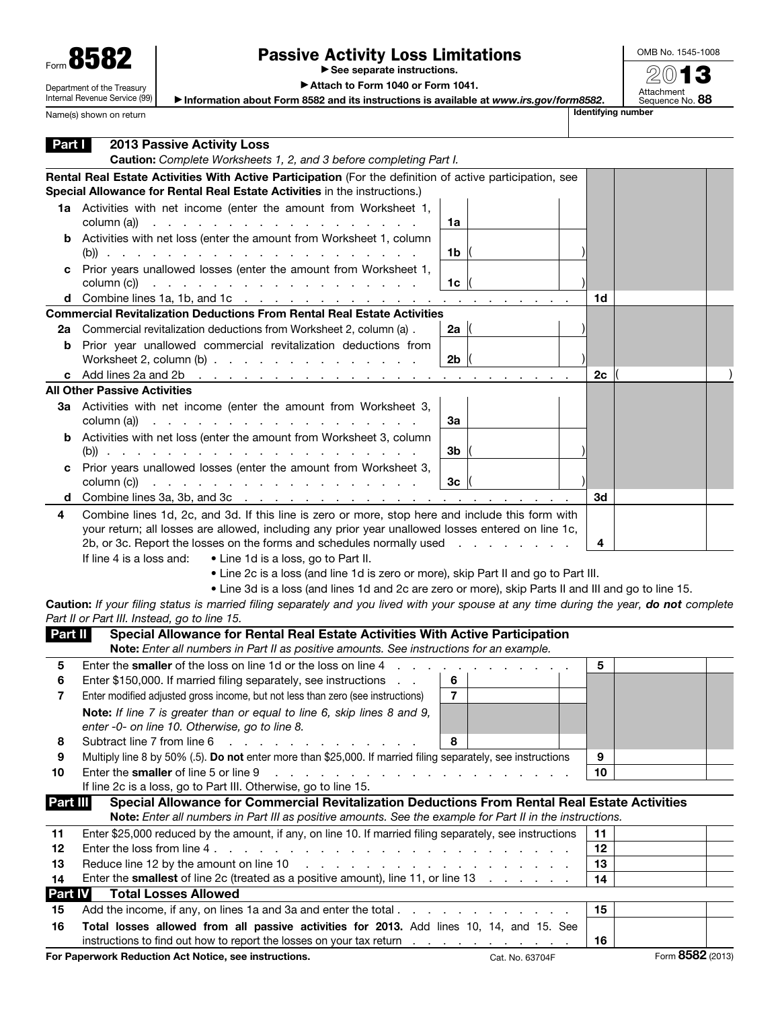| Form 858                   |
|----------------------------|
| Department of the Treasury |

Internal Revenue Service (99)

Name(s) shown on return

## Passive Activity Loss Limitations

▶ See separate instructions.

OMB No. 1545-1008 2013

Attachment<br>Sequence No. **88** 

▶ Attach to Form 1040 or Form 1041.

▶ Information about Form 8582 and its instructions is available at *www.irs.gov/form8582*.

| Part I   | <b>2013 Passive Activity Loss</b><br>Caution: Complete Worksheets 1, 2, and 3 before completing Part I.                                                                                                                                                                                                                                                                                                                                                                                                                                                                   |          |                  |
|----------|---------------------------------------------------------------------------------------------------------------------------------------------------------------------------------------------------------------------------------------------------------------------------------------------------------------------------------------------------------------------------------------------------------------------------------------------------------------------------------------------------------------------------------------------------------------------------|----------|------------------|
|          | Rental Real Estate Activities With Active Participation (For the definition of active participation, see<br>Special Allowance for Rental Real Estate Activities in the instructions.)                                                                                                                                                                                                                                                                                                                                                                                     |          |                  |
|          | 1a Activities with net income (enter the amount from Worksheet 1,<br>column (a))<br>1a<br>the contract of the contract of the contract of the contract of                                                                                                                                                                                                                                                                                                                                                                                                                 |          |                  |
|          | <b>b</b> Activities with net loss (enter the amount from Worksheet 1, column<br>1b                                                                                                                                                                                                                                                                                                                                                                                                                                                                                        |          |                  |
| c        | Prior years unallowed losses (enter the amount from Worksheet 1,<br>1 <sub>c</sub><br>$\text{column (c)}$ $\ldots$ $\ldots$ $\ldots$ $\ldots$ $\ldots$ $\ldots$ $\ldots$                                                                                                                                                                                                                                                                                                                                                                                                  |          |                  |
|          |                                                                                                                                                                                                                                                                                                                                                                                                                                                                                                                                                                           | 1d       |                  |
|          | <b>Commercial Revitalization Deductions From Rental Real Estate Activities</b>                                                                                                                                                                                                                                                                                                                                                                                                                                                                                            |          |                  |
| 2a       | Commercial revitalization deductions from Worksheet 2, column (a).<br>2a $\parallel$                                                                                                                                                                                                                                                                                                                                                                                                                                                                                      |          |                  |
|          | <b>b</b> Prior year unallowed commercial revitalization deductions from<br>Worksheet 2, column $(b)$<br>2 <sub>b</sub>                                                                                                                                                                                                                                                                                                                                                                                                                                                    |          |                  |
|          | c Add lines 2a and 2b $\cdot \cdot \cdot \cdot \cdot \cdot \cdot \cdot \cdot \cdot \cdot \cdot \cdot \cdot \cdot \cdot \cdot$<br>the contract of the contract of                                                                                                                                                                                                                                                                                                                                                                                                          | 2с       |                  |
|          | <b>All Other Passive Activities</b>                                                                                                                                                                                                                                                                                                                                                                                                                                                                                                                                       |          |                  |
|          | 3a Activities with net income (enter the amount from Worksheet 3,<br>column (a))<br>За<br>the contract of the contract of the contract of the contract of the contract of the contract of the contract of                                                                                                                                                                                                                                                                                                                                                                 |          |                  |
|          | <b>b</b> Activities with net loss (enter the amount from Worksheet 3, column<br>3b                                                                                                                                                                                                                                                                                                                                                                                                                                                                                        |          |                  |
| c        | Prior years unallowed losses (enter the amount from Worksheet 3,<br>column $(c)$ $\therefore$ $\therefore$ $\therefore$ $\therefore$ $\therefore$ $\therefore$ $\therefore$ $\therefore$ $\therefore$ $\therefore$ $\therefore$ $\therefore$ $\therefore$ $\therefore$ $\therefore$ $\therefore$ $\therefore$ $\therefore$ $\therefore$ $\therefore$ $\therefore$ $\therefore$ $\therefore$ $\therefore$ $\therefore$ $\therefore$ $\therefore$ $\therefore$ $\therefore$ $\therefore$ $\therefore$ $\therefore$ $\therefore$ $\therefore$ $\therefore$<br>3 <sub>c</sub> |          |                  |
|          | d Combine lines 3a, 3b, and 3c $\ldots$ $\ldots$ $\ldots$ $\ldots$ $\ldots$ $\ldots$ $\ldots$ $\ldots$ $\ldots$                                                                                                                                                                                                                                                                                                                                                                                                                                                           | 3d       |                  |
| 4        | Combine lines 1d, 2c, and 3d. If this line is zero or more, stop here and include this form with<br>your return; all losses are allowed, including any prior year unallowed losses entered on line 1c,<br>2b, or 3c. Report the losses on the forms and schedules normally used<br>If line 4 is a loss and:<br>• Line 1d is a loss, go to Part II.<br>• Line 2c is a loss (and line 1d is zero or more), skip Part II and go to Part III.<br>. Line 3d is a loss (and lines 1d and 2c are zero or more), skip Parts II and III and go to line 15.                         | 4        |                  |
|          | Caution: If your filing status is married filing separately and you lived with your spouse at any time during the year, do not complete<br>Part II or Part III. Instead, go to line 15.                                                                                                                                                                                                                                                                                                                                                                                   |          |                  |
| Part II  | Special Allowance for Rental Real Estate Activities With Active Participation                                                                                                                                                                                                                                                                                                                                                                                                                                                                                             |          |                  |
|          | Note: Enter all numbers in Part II as positive amounts. See instructions for an example.                                                                                                                                                                                                                                                                                                                                                                                                                                                                                  |          |                  |
| 5        | Enter the smaller of the loss on line 1d or the loss on line 4                                                                                                                                                                                                                                                                                                                                                                                                                                                                                                            | 5        |                  |
| 6        | Enter \$150,000. If married filing separately, see instructions<br>6                                                                                                                                                                                                                                                                                                                                                                                                                                                                                                      |          |                  |
| 7        | $\overline{7}$<br>Enter modified adjusted gross income, but not less than zero (see instructions)                                                                                                                                                                                                                                                                                                                                                                                                                                                                         |          |                  |
|          | Note: If line 7 is greater than or equal to line 6, skip lines 8 and 9,<br>enter -0- on line 10. Otherwise, go to line 8.                                                                                                                                                                                                                                                                                                                                                                                                                                                 |          |                  |
| 8        | 8<br>Subtract line 7 from line 6                                                                                                                                                                                                                                                                                                                                                                                                                                                                                                                                          |          |                  |
| 9        | Multiply line 8 by 50% (.5). Do not enter more than \$25,000. If married filing separately, see instructions                                                                                                                                                                                                                                                                                                                                                                                                                                                              | 9        |                  |
| 10       | Enter the smaller of line 5 or line 9<br>a construction of the construction of the construction                                                                                                                                                                                                                                                                                                                                                                                                                                                                           | 10       |                  |
|          | If line 2c is a loss, go to Part III. Otherwise, go to line 15.                                                                                                                                                                                                                                                                                                                                                                                                                                                                                                           |          |                  |
| Part III | Special Allowance for Commercial Revitalization Deductions From Rental Real Estate Activities                                                                                                                                                                                                                                                                                                                                                                                                                                                                             |          |                  |
|          | Note: Enter all numbers in Part III as positive amounts. See the example for Part II in the instructions.                                                                                                                                                                                                                                                                                                                                                                                                                                                                 |          |                  |
| 11<br>12 | Enter \$25,000 reduced by the amount, if any, on line 10. If married filing separately, see instructions                                                                                                                                                                                                                                                                                                                                                                                                                                                                  | 11<br>12 |                  |
| 13       | Reduce line 12 by the amount on line 10                                                                                                                                                                                                                                                                                                                                                                                                                                                                                                                                   | 13       |                  |
| 14       | Enter the <b>smallest</b> of line 2c (treated as a positive amount), line 11, or line 13                                                                                                                                                                                                                                                                                                                                                                                                                                                                                  | 14       |                  |
| Part IV  | <b>Total Losses Allowed</b>                                                                                                                                                                                                                                                                                                                                                                                                                                                                                                                                               |          |                  |
| 15       | Add the income, if any, on lines 1a and 3a and enter the total                                                                                                                                                                                                                                                                                                                                                                                                                                                                                                            | 15       |                  |
| 16       | Total losses allowed from all passive activities for 2013. Add lines 10, 14, and 15. See                                                                                                                                                                                                                                                                                                                                                                                                                                                                                  |          |                  |
|          | instructions to find out how to report the losses on your tax return                                                                                                                                                                                                                                                                                                                                                                                                                                                                                                      | 16       |                  |
|          | For Paperwork Reduction Act Notice, see instructions.<br>Cat. No. 63704F                                                                                                                                                                                                                                                                                                                                                                                                                                                                                                  |          | Form 8582 (2013) |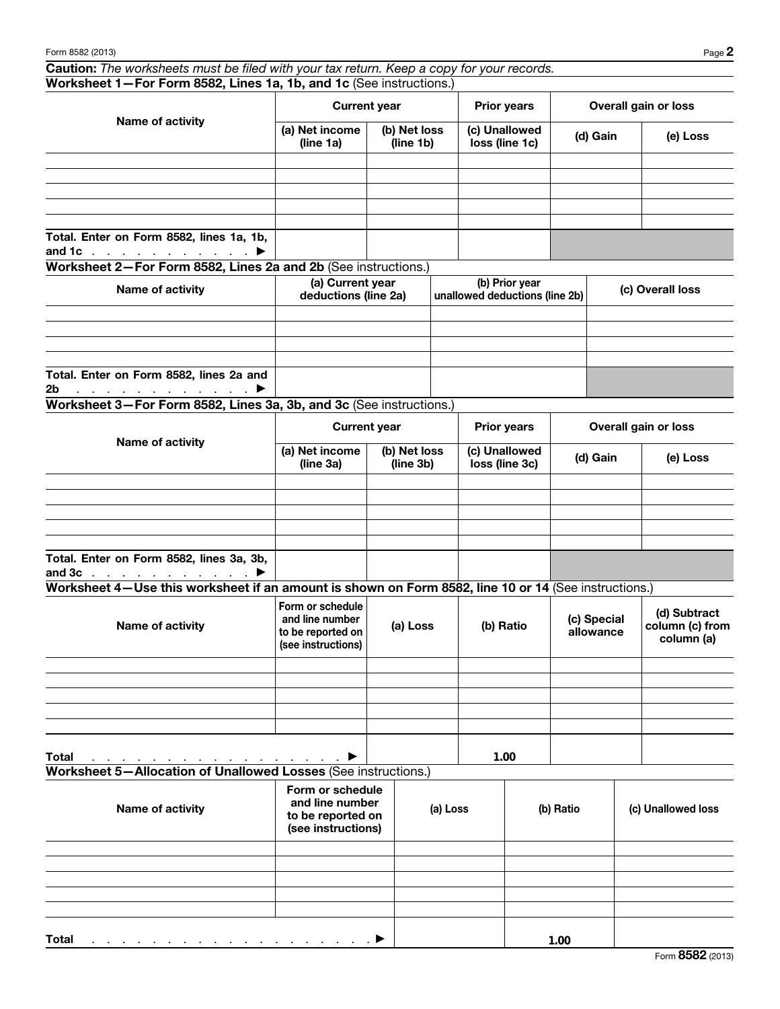Caution: *The worksheets must be filed with your tax return. Keep a copy for your records.* Worksheet 1—For Form 8582, Lines 1a, 1b, and 1c (See instructions.)

| Name of activity                                                                       | <b>Current year</b>         |                           | <b>Prior years</b>              | Overall gain or loss |          |  |
|----------------------------------------------------------------------------------------|-----------------------------|---------------------------|---------------------------------|----------------------|----------|--|
|                                                                                        | (a) Net income<br>(line 1a) | (b) Net loss<br>(line 1b) | (c) Unallowed<br>loss (line 1c) | (d) Gain             | (e) Loss |  |
|                                                                                        |                             |                           |                                 |                      |          |  |
|                                                                                        |                             |                           |                                 |                      |          |  |
|                                                                                        |                             |                           |                                 |                      |          |  |
|                                                                                        |                             |                           |                                 |                      |          |  |
|                                                                                        |                             |                           |                                 |                      |          |  |
| Total. Enter on Form 8582, lines 1a, 1b,<br>and 1c $\ldots$ $\ldots$ $\ldots$ $\ldots$ |                             |                           |                                 |                      |          |  |

Worksheet 2—For Form 8582, Lines 2a and 2b (See instructions.)

| Name of activity                                                                    | (a) Current year<br>deductions (line 2a) | (b) Prior year<br>unallowed deductions (line 2b) | (c) Overall loss |
|-------------------------------------------------------------------------------------|------------------------------------------|--------------------------------------------------|------------------|
|                                                                                     |                                          |                                                  |                  |
|                                                                                     |                                          |                                                  |                  |
|                                                                                     |                                          |                                                  |                  |
|                                                                                     |                                          |                                                  |                  |
| Total. Enter on Form 8582, lines 2a and                                             |                                          |                                                  |                  |
| 2 <sub>b</sub><br>$\ldots$ . The set of the set of the set of $\blacktriangleright$ |                                          |                                                  |                  |

Worksheet 3—For Form 8582, Lines 3a, 3b, and 3c (See instructions.)

|                                                                            |                             | <b>Current year</b>       | <b>Prior years</b>              | Overall gain or loss |          |  |
|----------------------------------------------------------------------------|-----------------------------|---------------------------|---------------------------------|----------------------|----------|--|
| Name of activity                                                           | (a) Net income<br>(line 3a) | (b) Net loss<br>(line 3b) | (c) Unallowed<br>loss (line 3c) | (d) Gain             | (e) Loss |  |
|                                                                            |                             |                           |                                 |                      |          |  |
|                                                                            |                             |                           |                                 |                      |          |  |
|                                                                            |                             |                           |                                 |                      |          |  |
|                                                                            |                             |                           |                                 |                      |          |  |
|                                                                            |                             |                           |                                 |                      |          |  |
| Total. Enter on Form 8582, lines 3a, 3b,<br>and $3c$ $\blacktriangleright$ |                             |                           |                                 |                      |          |  |

Worksheet 4—Use this worksheet if an amount is shown on Form 8582, line 10 or 14 (See instructions.)

| Name of activity                                                                | Form or schedule<br>and line number<br>to be reported on<br>(see instructions) | (a) Loss | (b) Ratio | (c) Special<br>allowance | (d) Subtract<br>column (c) from<br>column (a) |
|---------------------------------------------------------------------------------|--------------------------------------------------------------------------------|----------|-----------|--------------------------|-----------------------------------------------|
|                                                                                 |                                                                                |          |           |                          |                                               |
|                                                                                 |                                                                                |          |           |                          |                                               |
|                                                                                 |                                                                                |          |           |                          |                                               |
|                                                                                 |                                                                                |          |           |                          |                                               |
|                                                                                 |                                                                                |          |           |                          |                                               |
| <b>Total</b><br>and a series of the contract of the contract of the contract of | $\blacktriangleright$                                                          |          | 1.00      |                          |                                               |

Worksheet 5—Allocation of Unallowed Losses (See instructions.)

| Name of activity                                                                    | Form or schedule<br>and line number<br>to be reported on<br>(see instructions) | (a) Loss | (b) Ratio | (c) Unallowed loss |
|-------------------------------------------------------------------------------------|--------------------------------------------------------------------------------|----------|-----------|--------------------|
|                                                                                     |                                                                                |          |           |                    |
|                                                                                     |                                                                                |          |           |                    |
|                                                                                     |                                                                                |          |           |                    |
|                                                                                     |                                                                                |          |           |                    |
|                                                                                     |                                                                                |          |           |                    |
| <b>Total</b><br>and the contract of the contract of the contract of the contract of |                                                                                |          | 1.00      |                    |